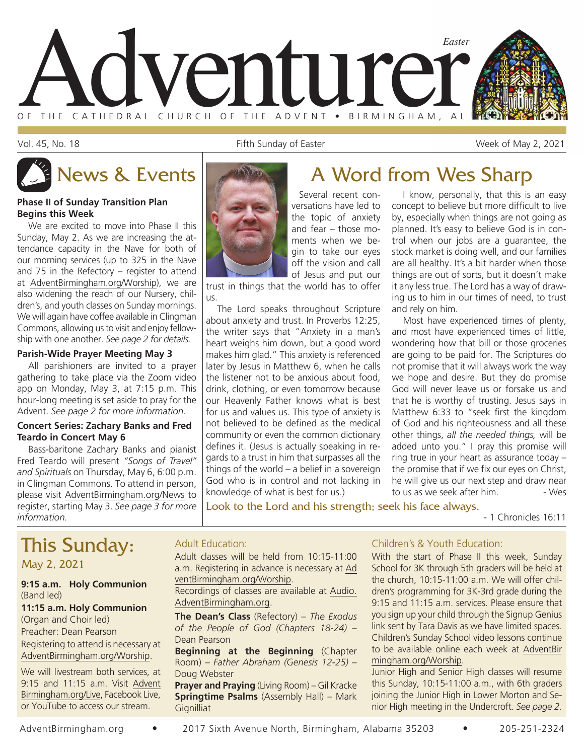

Vol. 45, No. 18 Fifth Sunday of Easter The Collection of Easter Studies and Studies Week of May 2, 2021

I know, personally, that this is an easy concept to believe but more difficult to live by, especially when things are not going as planned. It's easy to believe God is in control when our jobs are a guarantee, the stock market is doing well, and our families are all healthy. It's a bit harder when those things are out of sorts, but it doesn't make it any less true. The Lord has a way of drawing us to him in our times of need, to trust

Most have experienced times of plenty, and most have experienced times of little, wondering how that bill or those groceries are going to be paid for. The Scriptures do not promise that it will always work the way we hope and desire. But they do promise God will never leave us or forsake us and that he is worthy of trusting. Jesus says in Matthew 6:33 to "seek first the kingdom of God and his righteousness and all these other things, *all the needed things,* will be added unto you." I pray this promise will ring true in your heart as assurance today – the promise that if we fix our eyes on Christ, he will give us our next step and draw near to us as we seek after him. - Wes

# News & Events **A** Word from Wes Sharp

#### **Phase II of Sunday Transition Plan Begins this Week**

We are excited to move into Phase II this Sunday, May 2. As we are increasing the attendance capacity in the Nave for both of our morning services (up to 325 in the Nave and 75 in the Refectory – register to attend at AdventBirmingham.org/Worship), we are also widening the reach of our Nursery, children's, and youth classes on Sunday mornings. We will again have coffee available in Clingman Commons, allowing us to visit and enjoy fellowship with one another. *See page 2 for details*.

#### **Parish-Wide Prayer Meeting May 3**

All parishioners are invited to a prayer gathering to take place via the Zoom video app on Monday, May 3, at 7:15 p.m. This hour-long meeting is set aside to pray for the Advent. *See page 2 for more information.*

#### **Concert Series: Zachary Banks and Fred Teardo in Concert May 6**

Bass-baritone Zachary Banks and pianist Fred Teardo will present *"Songs of Travel" and Spirituals* on Thursday, May 6, 6:00 p.m. in Clingman Commons. To attend in person, please visit AdventBirmingham.org/News to register, starting May 3. *See page 3 for more information.*



Several recent conversations have led to the topic of anxiety and fear – those moments when we begin to take our eyes off the vision and call of Jesus and put our

trust in things that the world has to offer us.

The Lord speaks throughout Scripture about anxiety and trust. In Proverbs 12:25, the writer says that "Anxiety in a man's heart weighs him down, but a good word makes him glad." This anxiety is referenced later by Jesus in Matthew 6, when he calls the listener not to be anxious about food, drink, clothing, or even tomorrow because our Heavenly Father knows what is best for us and values us. This type of anxiety is not believed to be defined as the medical community or even the common dictionary defines it. (Jesus is actually speaking in regards to a trust in him that surpasses all the things of the world – a belief in a sovereign God who is in control and not lacking in knowledge of what is best for us.)

Look to the Lord and his strength; seek his face always.

- 1 Chronicles 16:11

# This Sunday:

May 2, 2021

#### **9:15 a.m. Holy Communion** (Band led)

#### **11:15 a.m. Holy Communion** (Organ and Choir led)

Preacher: Dean Pearson Registering to attend is necessary at AdventBirmingham.org/Worship.

We will livestream both services, at 9:15 and 11:15 a.m. Visit Advent Birmingham.org/Live, Facebook Live, or YouTube to access our stream.

### Adult Education:

Adult classes will be held from 10:15-11:00 a.m. Registering in advance is necessary at Ad ventBirmingham.org/Worship.

Recordings of classes are available at Audio. AdventBirmingham.org.

**The Dean's Class** (Refectory) – *The Exodus of the People of God (Chapters 18-24)* – Dean Pearson

**Beginning at the Beginning** (Chapter Room) – *Father Abraham (Genesis 12-25)* – Doug Webster

**Prayer and Praying** (Living Room) – Gil Kracke **Springtime Psalms** (Assembly Hall) – Mark **Gignilliat** 

### Children's & Youth Education:

and rely on him.

With the start of Phase II this week, Sunday School for 3K through 5th graders will be held at the church, 10:15-11:00 a.m. We will offer children's programming for 3K-3rd grade during the 9:15 and 11:15 a.m. services. Please ensure that you sign up your child through the Signup Genius link sent by Tara Davis as we have limited spaces. Children's Sunday School video lessons continue to be available online each week at AdventBir mingham.org/Worship.

Junior High and Senior High classes will resume this Sunday, 10:15-11:00 a.m., with 6th graders joining the Junior High in Lower Morton and Senior High meeting in the Undercroft. *See page 2.*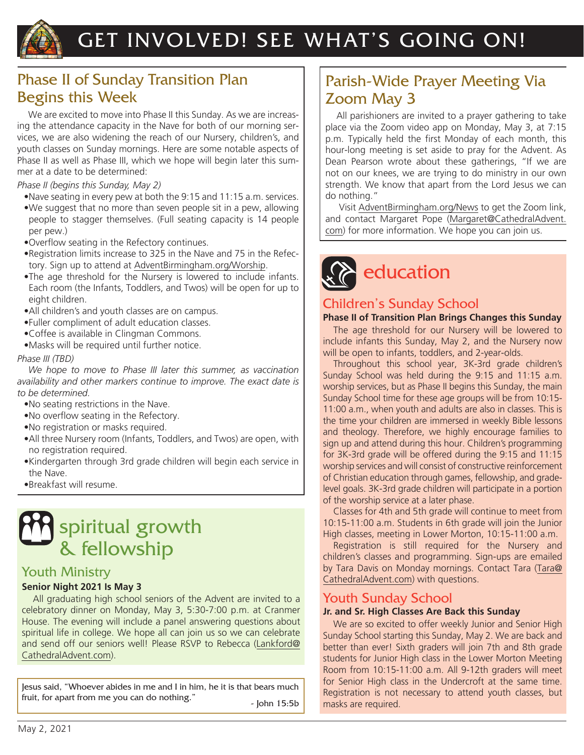

# GET INVOLVED! SEE WHAT'S GOING ON!

### Phase II of Sunday Transition Plan Begins this Week

We are excited to move into Phase II this Sunday. As we are increasing the attendance capacity in the Nave for both of our morning services, we are also widening the reach of our Nursery, children's, and youth classes on Sunday mornings. Here are some notable aspects of Phase II as well as Phase III, which we hope will begin later this summer at a date to be determined:

### *Phase II (begins this Sunday, May 2)*

- •Nave seating in every pew at both the 9:15 and 11:15 a.m. services.
- •We suggest that no more than seven people sit in a pew, allowing people to stagger themselves. (Full seating capacity is 14 people per pew.)
- •Overflow seating in the Refectory continues.
- •Registration limits increase to 325 in the Nave and 75 in the Refectory. Sign up to attend at AdventBirmingham.org/Worship.
- •The age threshold for the Nursery is lowered to include infants. Each room (the Infants, Toddlers, and Twos) will be open for up to eight children.
- •All children's and youth classes are on campus.
- •Fuller compliment of adult education classes.
- •Coffee is available in Clingman Commons.
- •Masks will be required until further notice.

### *Phase III (TBD)*

*We hope to move to Phase III later this summer, as vaccination availability and other markers continue to improve. The exact date is to be determined.*

- •No seating restrictions in the Nave.
- •No overflow seating in the Refectory.
- •No registration or masks required.
- •All three Nursery room (Infants, Toddlers, and Twos) are open, with no registration required.
- •Kindergarten through 3rd grade children will begin each service in the Nave.
- •Breakfast will resume.

# spiritual growth & fellowship

### Youth Ministry

### **Senior Night 2021 Is May 3**

All graduating high school seniors of the Advent are invited to a celebratory dinner on Monday, May 3, 5:30-7:00 p.m. at Cranmer House. The evening will include a panel answering questions about spiritual life in college. We hope all can join us so we can celebrate and send off our seniors well! Please RSVP to Rebecca (Lankford@ CathedralAdvent.com).

Jesus said, "Whoever abides in me and I in him, he it is that bears much fruit, for apart from me you can do nothing." <br>- John 15:5b

### Parish-Wide Prayer Meeting Via Zoom May 3

All parishioners are invited to a prayer gathering to take place via the Zoom video app on Monday, May 3, at 7:15 p.m. Typically held the first Monday of each month, this hour-long meeting is set aside to pray for the Advent. As Dean Pearson wrote about these gatherings, "If we are not on our knees, we are trying to do ministry in our own strength. We know that apart from the Lord Jesus we can do nothing."

 Visit AdventBirmingham.org/News to get the Zoom link, and contact Margaret Pope (Margaret@CathedralAdvent. com) for more information. We hope you can join us.

# education

### Children's Sunday School

### **Phase II of Transition Plan Brings Changes this Sunday**

The age threshold for our Nursery will be lowered to include infants this Sunday, May 2, and the Nursery now will be open to infants, toddlers, and 2-year-olds.

Throughout this school year, 3K-3rd grade children's Sunday School was held during the 9:15 and 11:15 a.m. worship services, but as Phase II begins this Sunday, the main Sunday School time for these age groups will be from 10:15- 11:00 a.m., when youth and adults are also in classes. This is the time your children are immersed in weekly Bible lessons and theology. Therefore, we highly encourage families to sign up and attend during this hour. Children's programming for 3K-3rd grade will be offered during the 9:15 and 11:15 worship services and will consist of constructive reinforcement of Christian education through games, fellowship, and gradelevel goals. 3K-3rd grade children will participate in a portion of the worship service at a later phase.

Classes for 4th and 5th grade will continue to meet from 10:15-11:00 a.m. Students in 6th grade will join the Junior High classes, meeting in Lower Morton, 10:15-11:00 a.m.

Registration is still required for the Nursery and children's classes and programming. Sign-ups are emailed by Tara Davis on Monday mornings. Contact Tara (Tara@ CathedralAdvent.com) with questions.

### Youth Sunday School

### **Jr. and Sr. High Classes Are Back this Sunday**

We are so excited to offer weekly Junior and Senior High Sunday School starting this Sunday, May 2. We are back and better than ever! Sixth graders will join 7th and 8th grade students for Junior High class in the Lower Morton Meeting Room from 10:15-11:00 a.m. All 9-12th graders will meet for Senior High class in the Undercroft at the same time. Registration is not necessary to attend youth classes, but masks are required.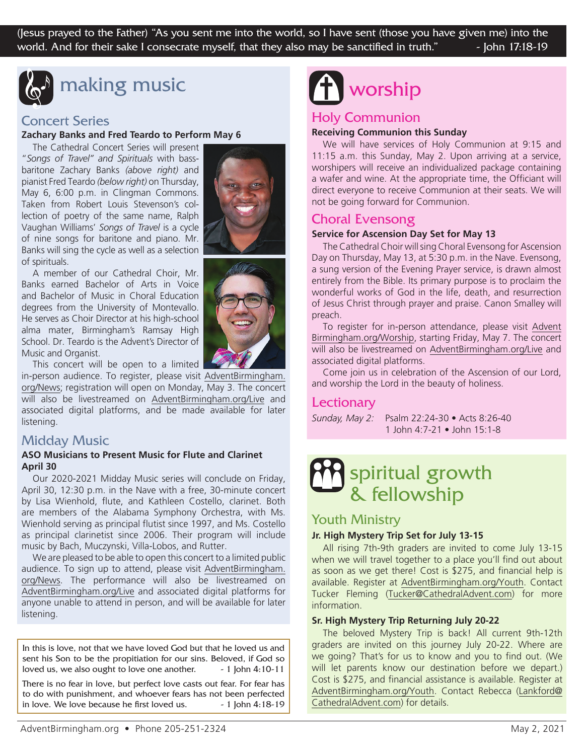(Jesus prayed to the Father) "As you sent me into the world, so I have sent (those you have given me) into the world. And for their sake I consecrate myself, that they also may be sanctified in truth."  $\sim$  John 17:18-19



### making music

### Concert Series

### **Zachary Banks and Fred Teardo to Perform May 6**

The Cathedral Concert Series will present "*Songs of Travel" and Spirituals* with bassbaritone Zachary Banks *(above right)* and pianist Fred Teardo *(below right)* on Thursday, May 6, 6:00 p.m. in Clingman Commons. Taken from Robert Louis Stevenson's collection of poetry of the same name, Ralph Vaughan Williams' *Songs of Travel* is a cycle of nine songs for baritone and piano. Mr. Banks will sing the cycle as well as a selection of spirituals.

A member of our Cathedral Choir, Mr. Banks earned Bachelor of Arts in Voice and Bachelor of Music in Choral Education degrees from the University of Montevallo. He serves as Choir Director at his high-school alma mater, Birmingham's Ramsay High School. Dr. Teardo is the Advent's Director of Music and Organist.

This concert will be open to a limited

in-person audience. To register, please visit AdventBirmingham. org/News; registration will open on Monday, May 3. The concert will also be livestreamed on AdventBirmingham.org/Live and associated digital platforms, and be made available for later listening.

### Midday Music

### **ASO Musicians to Present Music for Flute and Clarinet April 30**

Our 2020-2021 Midday Music series will conclude on Friday, April 30, 12:30 p.m. in the Nave with a free, 30-minute concert by Lisa Wienhold, flute, and Kathleen Costello, clarinet. Both are members of the Alabama Symphony Orchestra, with Ms. Wienhold serving as principal flutist since 1997, and Ms. Costello as principal clarinetist since 2006. Their program will include music by Bach, Muczynski, Villa-Lobos, and Rutter.

We are pleased to be able to open this concert to a limited public audience. To sign up to attend, please visit AdventBirmingham. org/News. The performance will also be livestreamed on AdventBirmingham.org/Live and associated digital platforms for anyone unable to attend in person, and will be available for later listening.

In this is love, not that we have loved God but that he loved us and sent his Son to be the propitiation for our sins. Beloved, if God so loved us, we also ought to love one another.  $-1$  John 4:10-11

There is no fear in love, but perfect love casts out fear. For fear has to do with punishment, and whoever fears has not been perfected in love. We love because he first loved us.  $-1$  John 4:18-19





# worship

### Holy Communion

### **Receiving Communion this Sunday**

We will have services of Holy Communion at 9:15 and 11:15 a.m. this Sunday, May 2. Upon arriving at a service, worshipers will receive an individualized package containing a wafer and wine. At the appropriate time, the Officiant will direct everyone to receive Communion at their seats. We will not be going forward for Communion.

### Choral Evensong

### **Service for Ascension Day Set for May 13**

The Cathedral Choir will sing Choral Evensong for Ascension Day on Thursday, May 13, at 5:30 p.m. in the Nave. Evensong, a sung version of the Evening Prayer service, is drawn almost entirely from the Bible. Its primary purpose is to proclaim the wonderful works of God in the life, death, and resurrection of Jesus Christ through prayer and praise. Canon Smalley will preach.

To register for in-person attendance, please visit Advent Birmingham.org/Worship, starting Friday, May 7. The concert will also be livestreamed on AdventBirmingham.org/Live and associated digital platforms.

Come join us in celebration of the Ascension of our Lord, and worship the Lord in the beauty of holiness.

### **Lectionary**

*Sunday, May 2:* Psalm 22:24-30 • Acts 8:26-40 1 John 4:7-21 • John 15:1-8

## spiritual growth & fellowship

### Youth Ministry

### **Jr. High Mystery Trip Set for July 13-15**

All rising 7th-9th graders are invited to come July 13-15 when we will travel together to a place you'll find out about as soon as we get there! Cost is \$275, and financial help is available. Register at AdventBirmingham.org/Youth. Contact Tucker Fleming (Tucker@CathedralAdvent.com) for more information.

### **Sr. High Mystery Trip Returning July 20-22**

The beloved Mystery Trip is back! All current 9th-12th graders are invited on this journey July 20-22. Where are we going? That's for us to know and you to find out. (We will let parents know our destination before we depart.) Cost is \$275, and financial assistance is available. Register at AdventBirmingham.org/Youth. Contact Rebecca (Lankford@ CathedralAdvent.com) for details.